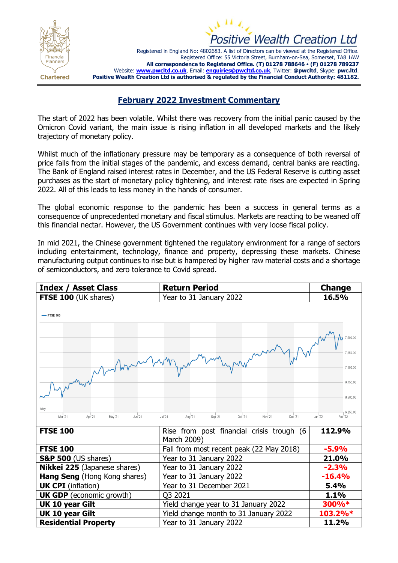



Registered in England No: 4802683. A list of Directors can be viewed at the Registered Office. Registered Office: 55 Victoria Street, Burnham-on-Sea, Somerset, TA8 1AW **All correspondence to Registered Office. (T) 01278 788646** • **(F) 01278 789237** Website: **[www.pwcltd.co.uk](http://www.pwcltd.co.uk/)**, Email: **[enquiries@pwcltd.co.uk](mailto:enquiries@pwcltd.co.uk)**, Twitter: **@pwcltd**, Skype: **pwc.ltd**. **Positive Wealth Creation Ltd is authorised & regulated by the Financial Conduct Authority: 481182.**

## **February 2022 Investment Commentary**

The start of 2022 has been volatile. Whilst there was recovery from the initial panic caused by the Omicron Covid variant, the main issue is rising inflation in all developed markets and the likely trajectory of monetary policy.

Whilst much of the inflationary pressure may be temporary as a consequence of both reversal of price falls from the initial stages of the pandemic, and excess demand, central banks are reacting. The Bank of England raised interest rates in December, and the US Federal Reserve is cutting asset purchases as the start of monetary policy tightening, and interest rate rises are expected in Spring 2022. All of this leads to less money in the hands of consumer.

The global economic response to the pandemic has been a success in general terms as a consequence of unprecedented monetary and fiscal stimulus. Markets are reacting to be weaned off this financial nectar. However, the US Government continues with very loose fiscal policy.

In mid 2021, the Chinese government tightened the regulatory environment for a range of sectors including entertainment, technology, finance and property, depressing these markets. Chinese manufacturing output continues to rise but is hampered by higher raw material costs and a shortage of semiconductors, and zero tolerance to Covid spread.

| <b>Index / Asset Class</b>                       | <b>Return Period</b>                                           | <b>Change</b>                              |  |
|--------------------------------------------------|----------------------------------------------------------------|--------------------------------------------|--|
| FTSE 100 (UK shares)                             | Year to 31 January 2022                                        | 16.5%                                      |  |
| -FTSE 100<br>7.250.00<br>7.000.00<br>6,750.00    |                                                                |                                            |  |
| 1day<br>Mar '21<br>Jun '21<br>Apr '21<br>May '21 | Jul '21<br>Aug '21<br>Sep '21<br>Oct '21<br>Nov '21<br>Dec '21 | 6,500.00<br>6.250.00<br>Jan '22<br>Feb '22 |  |
| <b>FTSE 100</b>                                  | Rise from post financial crisis trough (6<br>March 2009)       | 112.9%                                     |  |
| <b>FTSE 100</b>                                  | Fall from most recent peak (22 May 2018)                       | $-5.9%$                                    |  |
| <b>S&amp;P 500</b> (US shares)                   | Year to 31 January 2022                                        | 21.0%                                      |  |
| Nikkei 225 (Japanese shares)                     | Year to 31 January 2022                                        | $-2.3%$                                    |  |
| Hang Seng (Hong Kong shares)                     | Year to 31 January 2022                                        | $-16.4%$                                   |  |
| <b>UK CPI</b> (inflation)                        | Year to 31 December 2021                                       | 5.4%                                       |  |
| <b>UK GDP</b> (economic growth)                  | Q3 2021                                                        | 1.1%                                       |  |
| UK 10 year Gilt                                  | Yield change year to 31 January 2022                           | 300%*                                      |  |
| <b>UK 10 year Gilt</b>                           | Yield change month to 31 January 2022                          | 103.2%*                                    |  |
| <b>Residential Property</b>                      | Year to 31 January 2022                                        | 11.2%                                      |  |